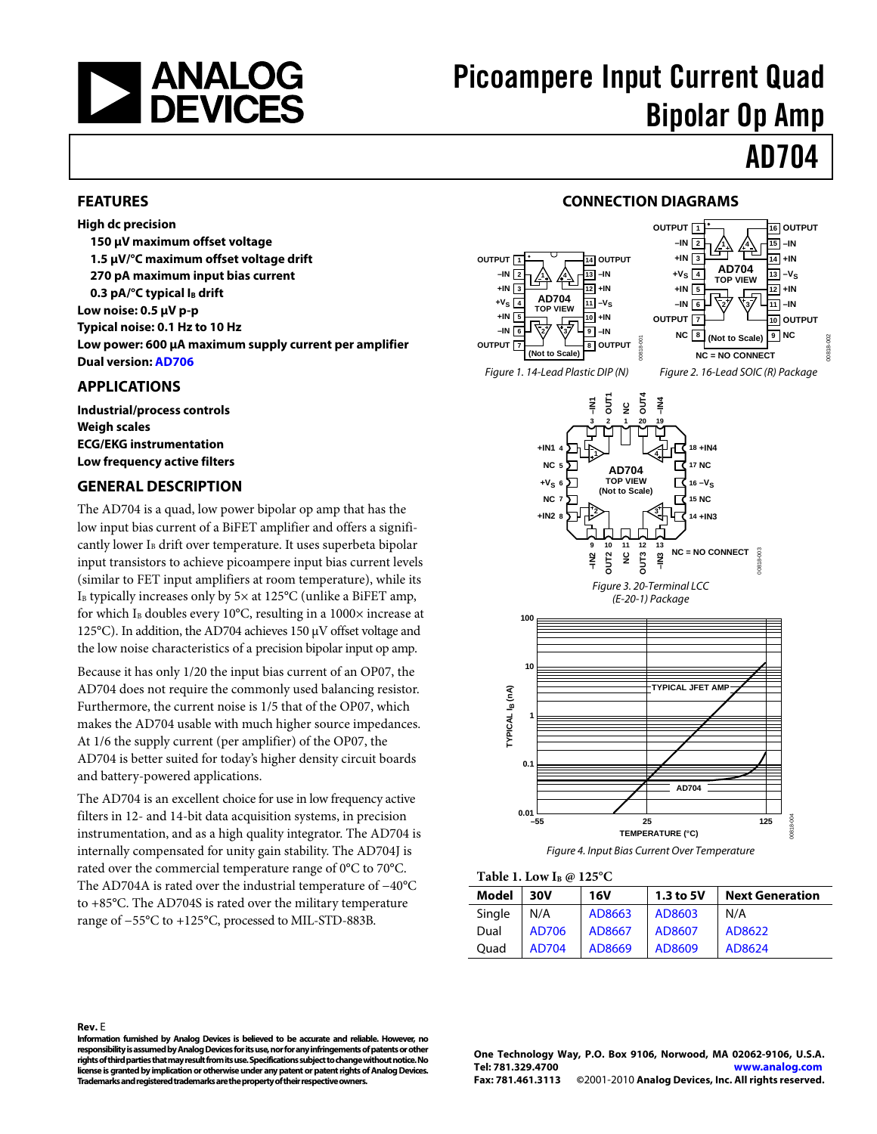

#### <span id="page-0-0"></span>**FEATURES**

**High dc precision 150 µV maximum offset voltage 1.5 µV/°C maximum offset voltage drift 270 pA maximum input bias current 0.3 pA/°C typical IB drift Low noise: 0.5 µV p-p Typical noise: 0.1 Hz to 10 Hz Low power: 600 µA maximum supply current per amplifier Dual version[: AD706](http://www.analog.com/AD706)**

### <span id="page-0-1"></span>**APPLICATIONS**

**Industrial/process controls Weigh scales ECG/EKG instrumentation Low frequency active filters**

### <span id="page-0-2"></span>**GENERAL DESCRIPTION**

The AD704 is a quad, low power bipolar op amp that has the low input bias current of a BiFET amplifier and offers a significantly lower  $I_B$  drift over temperature. It uses superbeta bipolar input transistors to achieve picoampere input bias current levels (similar to FET input amplifiers at room temperature), while its  $I<sub>B</sub>$  typically increases only by 5 $\times$  at 125 $\rm{°C}$  (unlike a BiFET amp, for which I<sub>B</sub> doubles every 10°C, resulting in a 1000 $\times$  increase at 125°C). In addition, the AD704 achieves 150 μV offset voltage and the low noise characteristics of a precision bipolar input op amp.

Because it has only 1/20 the input bias current of an OP07, the AD704 does not require the commonly used balancing resistor. Furthermore, the current noise is 1/5 that of the OP07, which makes the AD704 usable with much higher source impedances. At 1/6 the supply current (per amplifier) of the OP07, the AD704 is better suited for today's higher density circuit boards and battery-powered applications.

The AD704 is an excellent choice for use in low frequency active filters in 12- and 14-bit data acquisition systems, in precision instrumentation, and as a high quality integrator. The AD704 is internally compensated for unity gain stability. The AD704J is rated over the commercial temperature range of 0°C to 70°C. The AD704A is rated over the industrial temperature of −40°C to +85°C. The AD704S is rated over the military temperature range of −55°C to +125°C, processed to MIL-STD-883B.

### **CONNECTION DIAGRAMS**

<span id="page-0-3"></span>



*Figure 4. Input Bias Current Over Temperature*

**Table 1. Low IB @ 125°C**

| Model  | 30V   | <b>16V</b> | 1.3 to 5V | <b>Next Generation</b> |
|--------|-------|------------|-----------|------------------------|
| Single | N/A   | AD8663     | AD8603    | N/A                    |
| Dual   | AD706 | AD8667     | AD8607    | AD8622                 |
| Ouad   | AD704 | AD8669     | AD8609    | AD8624                 |

**Rev.** E **Information furnished by Analog Devices is believed to be accurate and reliable. However, no responsibility is assumed by Analog Devices for its use, nor for any infringements of patents or other rights of third parties that may result from its use. Specifications subject to change without notice. No license is granted by implication or otherwise under any patent or patent rights of Analog Devices. Trademarks and registered trademarks are the propertyof their respective owners.**

**One Technology Way, P.O. Box 9106, Norwood, MA 02062-9106, U.S.A. Tel: 781.329.4700 [www.analog.com](http://www.analog.com/) Fax: 781.461.3113 ©**2001-2010 **Analog Devices, Inc. All rights reserved.**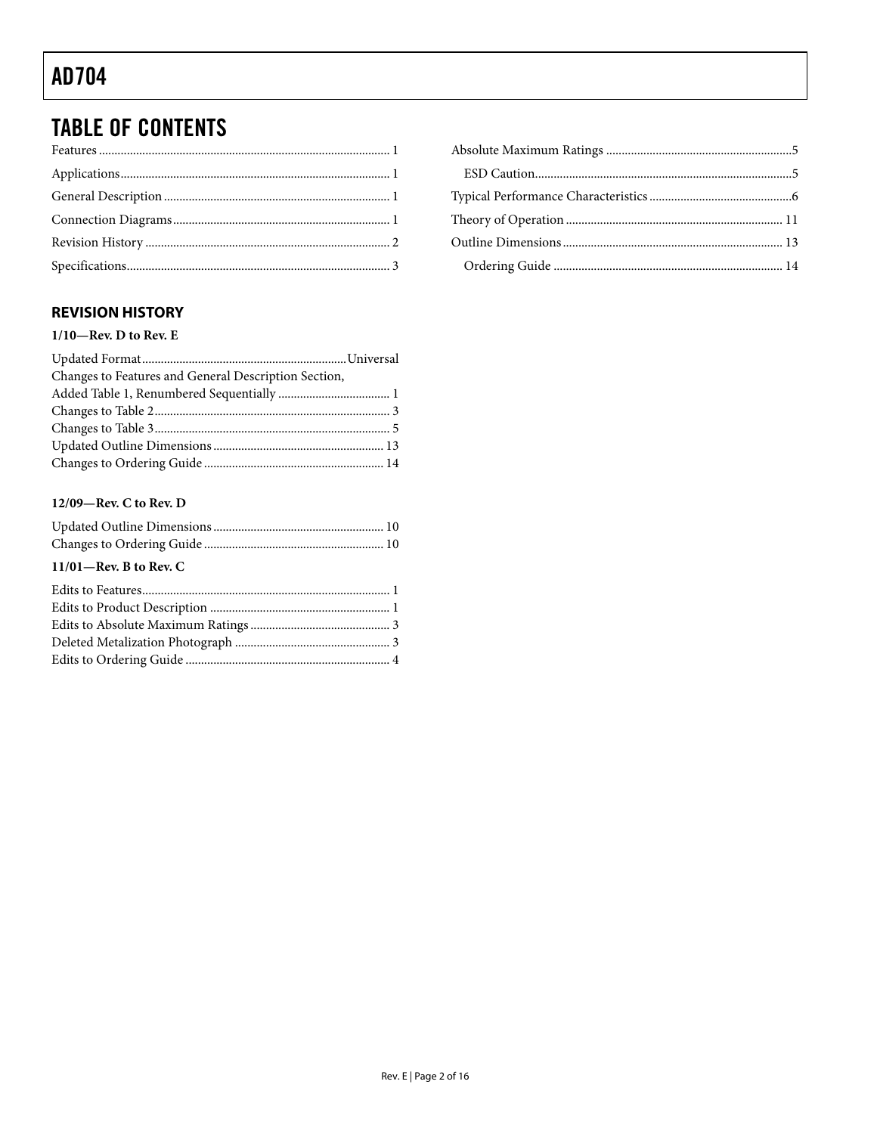## **TABLE OF CONTENTS**

### <span id="page-1-0"></span>**REVISION HISTORY**

### $1/10$ —Rev. D to Rev. E

| Changes to Features and General Description Section, |  |
|------------------------------------------------------|--|
|                                                      |  |
|                                                      |  |
|                                                      |  |
|                                                      |  |
|                                                      |  |

### 12/09-Rev. C to Rev. D

| $11/01$ —Rev. B to Rev. C |  |
|---------------------------|--|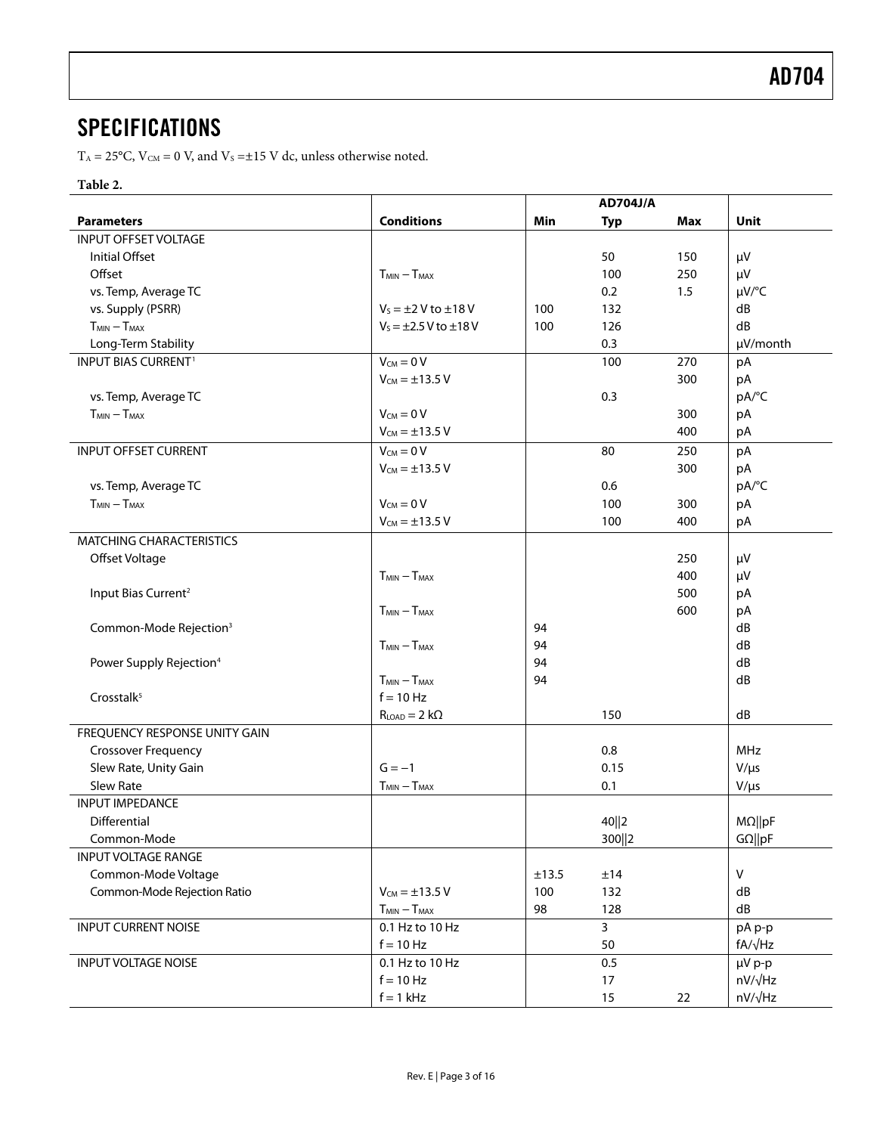### <span id="page-2-0"></span>**SPECIFICATIONS**

 $T_A = 25^{\circ}$ C,  $V_{CM} = 0$  V, and  $V_s = \pm 15$  V dc, unless otherwise noted.

### **Table 2.**

|                                       |                                 |       | <b>AD704J/A</b> |     |                |
|---------------------------------------|---------------------------------|-------|-----------------|-----|----------------|
| <b>Parameters</b>                     | <b>Conditions</b>               | Min   | <b>Typ</b>      | Max | Unit           |
| <b>INPUT OFFSET VOLTAGE</b>           |                                 |       |                 |     |                |
| <b>Initial Offset</b>                 |                                 |       | 50              | 150 | μV             |
| Offset                                | $T_{MIN} - T_{MAX}$             |       | 100             | 250 | μV             |
| vs. Temp, Average TC                  |                                 |       | 0.2             | 1.5 | $\mu V$ /°C    |
| vs. Supply (PSRR)                     | $V_s = \pm 2$ V to $\pm 18$ V   | 100   | 132             |     | dB             |
| $T_{MIN} - T_{MAX}$                   | $V_5 = \pm 2.5 V$ to $\pm 18 V$ | 100   | 126             |     | dB             |
| Long-Term Stability                   |                                 |       | 0.3             |     | µV/month       |
| <b>INPUT BIAS CURRENT<sup>1</sup></b> | $V_{CM} = 0 V$                  |       | 100             | 270 | pA             |
|                                       | $V_{CM} = \pm 13.5 V$           |       |                 | 300 | pA             |
| vs. Temp, Average TC                  |                                 |       | 0.3             |     | pA/°C          |
| $T_{MIN} - T_{MAX}$                   | $V_{CM} = 0 V$                  |       |                 | 300 | рA             |
|                                       | $V_{CM} = \pm 13.5 V$           |       |                 | 400 | pA             |
| <b>INPUT OFFSET CURRENT</b>           | $V_{CM} = 0 V$                  |       | 80              | 250 | pA             |
|                                       | $V_{CM} = \pm 13.5 V$           |       |                 | 300 | pA             |
| vs. Temp, Average TC                  |                                 |       | 0.6             |     | pA/°C          |
| $T_{MIN} - T_{MAX}$                   | $V_{CM} = 0 V$                  |       | 100             | 300 | pA             |
|                                       | $V_{CM} = \pm 13.5 V$           |       | 100             | 400 | pA             |
| <b>MATCHING CHARACTERISTICS</b>       |                                 |       |                 |     |                |
| Offset Voltage                        |                                 |       |                 | 250 | μV             |
|                                       | $T_{MIN} - T_{MAX}$             |       |                 | 400 | μV             |
| Input Bias Current <sup>2</sup>       |                                 |       |                 | 500 | рA             |
|                                       | $T_{MIN} - T_{MAX}$             |       |                 | 600 | рA             |
| Common-Mode Rejection <sup>3</sup>    |                                 | 94    |                 |     | dB             |
|                                       | $T_{MIN} - T_{MAX}$             | 94    |                 |     | dB             |
| Power Supply Rejection <sup>4</sup>   |                                 | 94    |                 |     | dB             |
|                                       | $T_{MIN} - T_{MAX}$             | 94    |                 |     | dB             |
| Crosstalk <sup>5</sup>                | $f = 10$ Hz                     |       |                 |     |                |
|                                       | $R_{LOAD} = 2 k\Omega$          |       | 150             |     | dB             |
| FREQUENCY RESPONSE UNITY GAIN         |                                 |       |                 |     |                |
| <b>Crossover Frequency</b>            |                                 |       | 0.8             |     | MHz            |
| Slew Rate, Unity Gain                 | $G = -1$                        |       | 0.15            |     | $V/\mu s$      |
| Slew Rate                             | $T_{MIN} - T_{MAX}$             |       | 0.1             |     | $V/\mu s$      |
| <b>INPUT IMPEDANCE</b>                |                                 |       |                 |     |                |
| Differential                          |                                 |       | 40  2           |     | $M\Omega$   pF |
| Common-Mode                           |                                 |       | 300  2          |     | $G\Omega  pF$  |
| <b>INPUT VOLTAGE RANGE</b>            |                                 |       |                 |     |                |
| Common-Mode Voltage                   |                                 | ±13.5 | ±14             |     | $\mathsf{V}$   |
| Common-Mode Rejection Ratio           | $V_{CM} = \pm 13.5 V$           | 100   | 132             |     | dB             |
|                                       | $T_{MIN} - T_{MAX}$             | 98    | 128             |     | dB             |
| <b>INPUT CURRENT NOISE</b>            | 0.1 Hz to 10 Hz                 |       | $\mathbf{3}$    |     | pA p-p         |
|                                       | $f = 10 Hz$                     |       | 50              |     | $fA/\sqrt{Hz}$ |
| <b>INPUT VOLTAGE NOISE</b>            | 0.1 Hz to 10 Hz                 |       | 0.5             |     | $\mu V$ p-p    |
|                                       | $f = 10 Hz$                     |       | 17              |     | $nV/\sqrt{Hz}$ |
|                                       | $f = 1$ kHz                     |       | 15              | 22  | nV/√Hz         |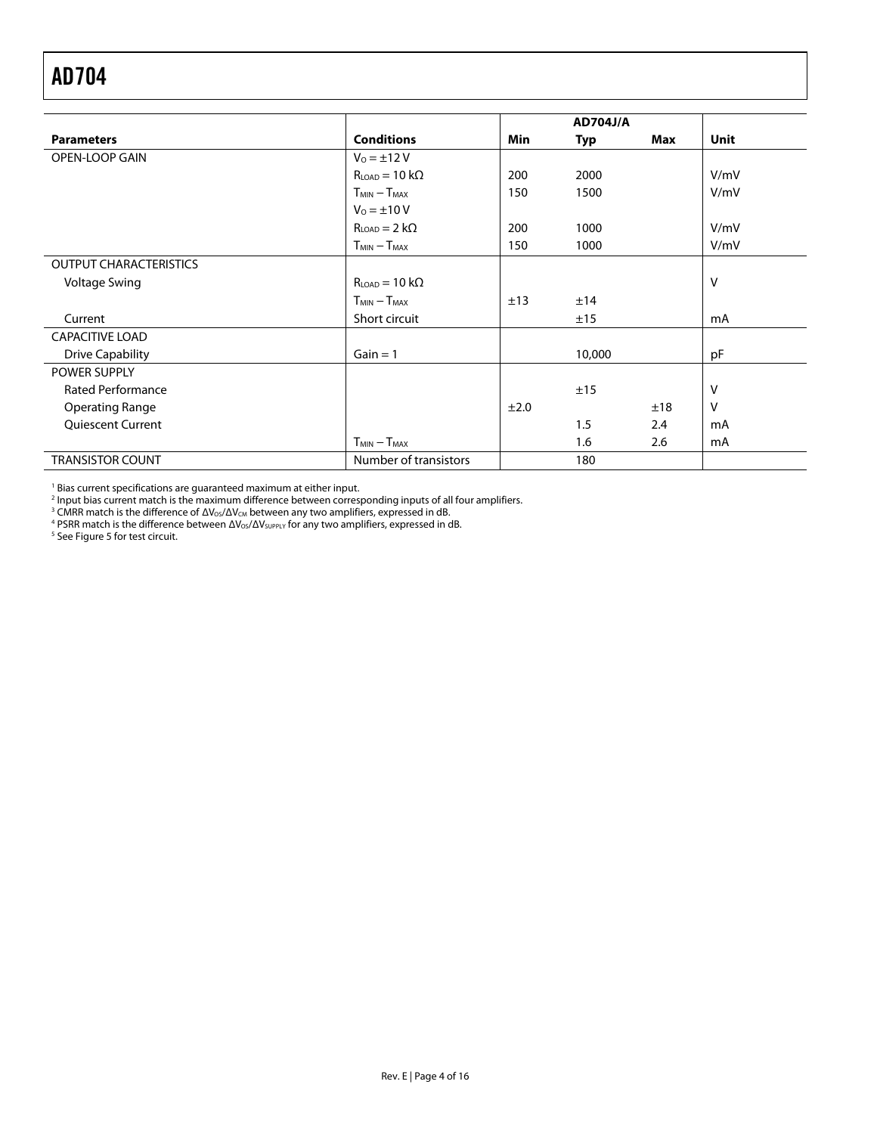<span id="page-3-0"></span>

|                               |                       |            | <b>AD704J/A</b> |     |             |
|-------------------------------|-----------------------|------------|-----------------|-----|-------------|
| <b>Parameters</b>             | <b>Conditions</b>     | <b>Min</b> | Typ             | Max | <b>Unit</b> |
| <b>OPEN-LOOP GAIN</b>         | $V_0 = \pm 12 V$      |            |                 |     |             |
|                               | $RLOAD = 10 k\Omega$  | 200        | 2000            |     | V/mV        |
|                               | $T_{MIN} - T_{MAX}$   | 150        | 1500            |     | V/mV        |
|                               | $V_0 = \pm 10 V$      |            |                 |     |             |
|                               | $RLOAD = 2 k\Omega$   | 200        | 1000            |     | V/mV        |
|                               | $T_{MIN} - T_{MAX}$   | 150        | 1000            |     | V/mV        |
| <b>OUTPUT CHARACTERISTICS</b> |                       |            |                 |     |             |
| <b>Voltage Swing</b>          | $RLOAD = 10 k\Omega$  |            |                 |     | V           |
|                               | $T_{MIN} - T_{MAX}$   | ±13        | ±14             |     |             |
| Current                       | Short circuit         |            | ±15             |     | mA          |
| <b>CAPACITIVE LOAD</b>        |                       |            |                 |     |             |
| <b>Drive Capability</b>       | $Gain = 1$            |            | 10,000          |     | pF          |
| <b>POWER SUPPLY</b>           |                       |            |                 |     |             |
| <b>Rated Performance</b>      |                       |            | ±15             |     | v           |
| <b>Operating Range</b>        |                       | ±2.0       |                 | ±18 | $\vee$      |
| <b>Quiescent Current</b>      |                       |            | 1.5             | 2.4 | mA          |
|                               | $T_{MIN} - T_{MAX}$   |            | 1.6             | 2.6 | mA          |
| <b>TRANSISTOR COUNT</b>       | Number of transistors |            | 180             |     |             |

 $<sup>1</sup>$  Bias current specifications are guaranteed maximum at either input.</sup>

<sup>2</sup> Input bias current match is the maximum difference between corresponding inputs of all four amplifiers.

<sup>3</sup> CMRR match is the difference of  $\Delta V_{OS}/\Delta V_{CM}$  between any two amplifiers, expressed in dB.

<sup>4</sup> PSRR match is the difference between  $\Delta\mathsf{V}_\mathsf{OS}/\Delta\mathsf{V}_\mathsf{SUPPLY}$  for any two amplifiers, expressed in dB.

<sup>5</sup> Se[e Figure 5](#page-4-3) for test circuit.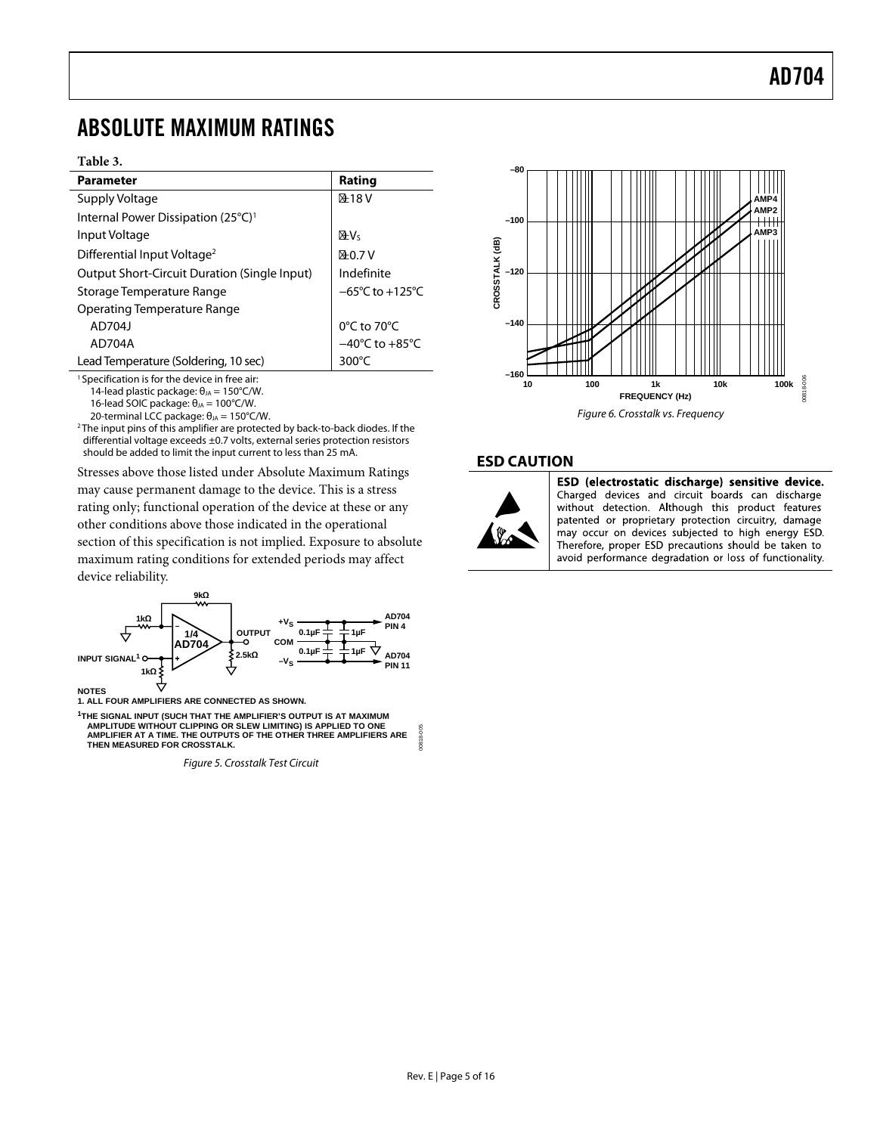### <span id="page-4-0"></span>ABSOLUTE MAXIMUM RATINGS

#### **Table 3.**

| <b>Parameter</b>                                    | Rating                              |
|-----------------------------------------------------|-------------------------------------|
| Supply Voltage                                      | ±18V                                |
| Internal Power Dissipation (25°C) <sup>1</sup>      |                                     |
| Input Voltage                                       | $\pm V_5$                           |
| Differential Input Voltage <sup>2</sup>             | $+0.7V$                             |
| <b>Output Short-Circuit Duration (Single Input)</b> | Indefinite                          |
| Storage Temperature Range                           | $-65^{\circ}$ C to $+125^{\circ}$ C |
| <b>Operating Temperature Range</b>                  |                                     |
| AD704J                                              | $0^{\circ}$ C to 70 $^{\circ}$ C    |
| AD704A                                              | $-40^{\circ}$ C to $+85^{\circ}$ C  |
| Lead Temperature (Soldering, 10 sec)                | 300 $\degree$ C                     |
|                                                     |                                     |

<sup>1</sup> Specification is for the device in free air: 14-lead plastic package:  $θ<sub>JA</sub> = 150°C/W$ .

16-lead SOIC package:  $θ<sub>JA</sub> = 100°C/W$ .

20-terminal LCC package:  $θ<sub>JA</sub> = 150°C/W$ .

<sup>2</sup>The input pins of this amplifier are protected by back-to-back diodes. If the differential voltage exceeds ±0.7 volts, external series protection resistors should be added to limit the input current to less than 25 mA.

<span id="page-4-2"></span>Stresses above those listed under Absolute Maximum Ratings may cause permanent damage to the device. This is a stress rating only; functional operation of the device at these or any other conditions above those indicated in the operational section of this specification is not implied. Exposure to absolute maximum rating conditions for extended periods may affect device reliability.



<span id="page-4-3"></span> **AMPLITUDE WITHOUT CLIPPING OR SLEW LIMITING) IS APPLIED TO ONE AMPLIFIER AT A TIME. THE OUTPUTS OF THE OTHER THREE AMPLIFIERS ARE THEN MEASURED FOR CROSSTALK. BADE** 

*Figure 5. Crosstalk Test Circuit*



### <span id="page-4-1"></span>**ESD CAUTION**



ESD (electrostatic discharge) sensitive device. Charged devices and circuit boards can discharge without detection. Although this product features patented or proprietary protection circuitry, damage may occur on devices subjected to high energy ESD. Therefore, proper ESD precautions should be taken to avoid performance degradation or loss of functionality.

00818-005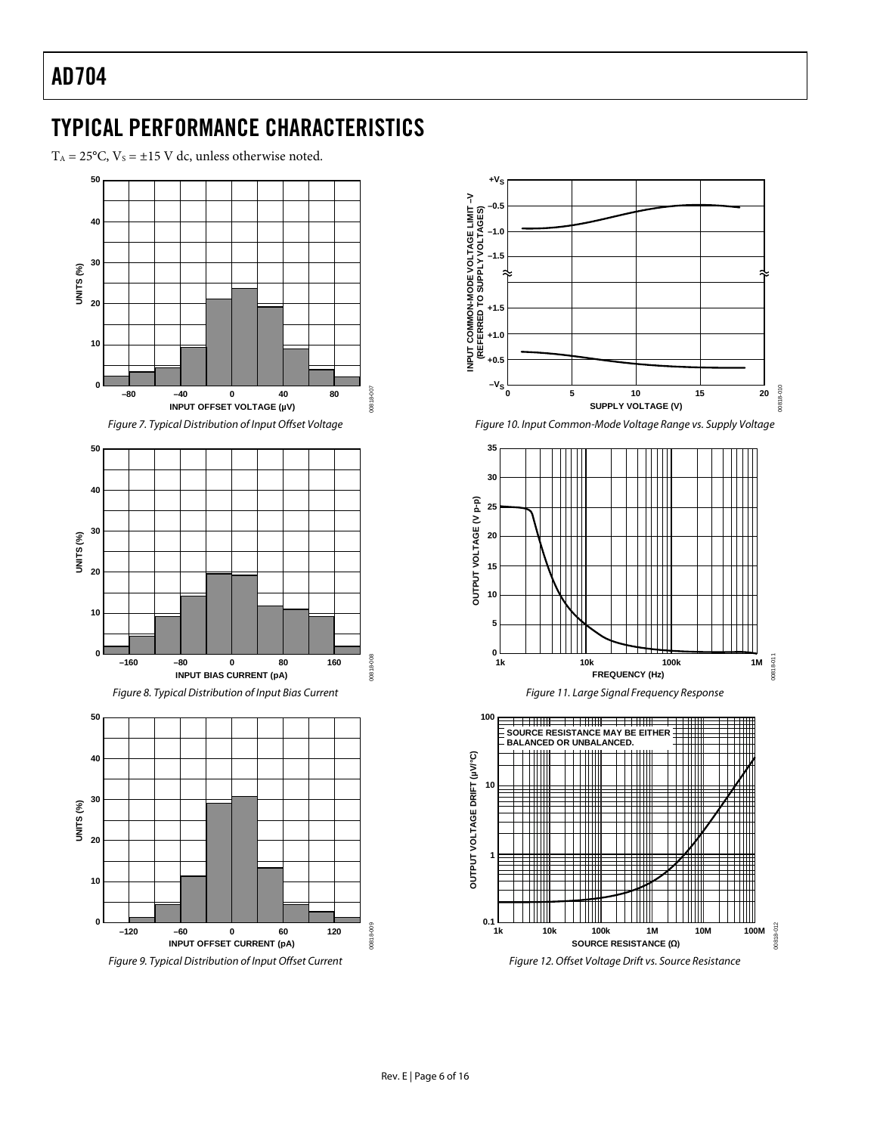## <span id="page-5-0"></span>TYPICAL PERFORMANCE CHARACTERISTICS

 $T_A = 25^{\circ}$ C,  $V_s = \pm 15$  V dc, unless otherwise noted.









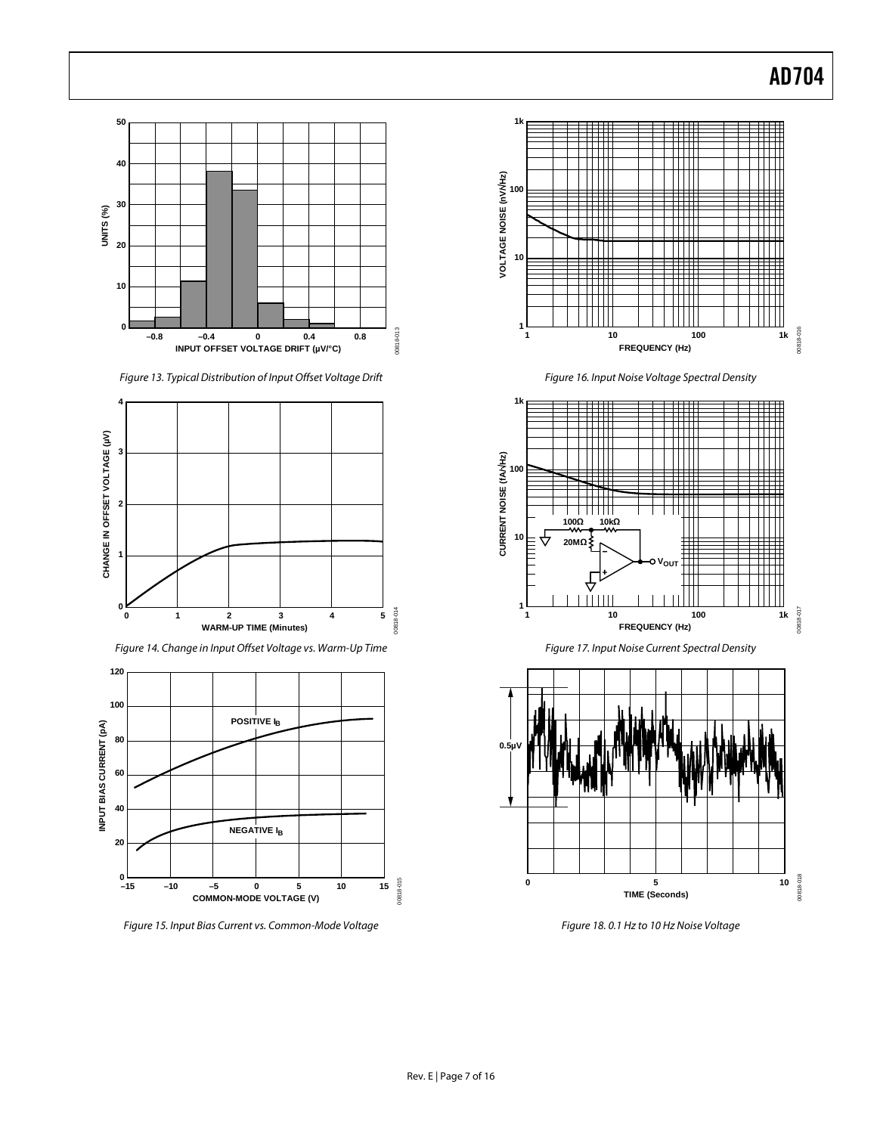

*Figure 13. Typical Distribution of Input Offset Voltage Drift*



*Figure 14. Change in Input Offset Voltage vs. Warm-Up Time*



*Figure 15. Input Bias Current vs. Common-Mode Voltage*



*Figure 16. Input Noise Voltage Spectral Density*





*Figure 18. 0.1 Hz to 10 Hz Noise Voltage*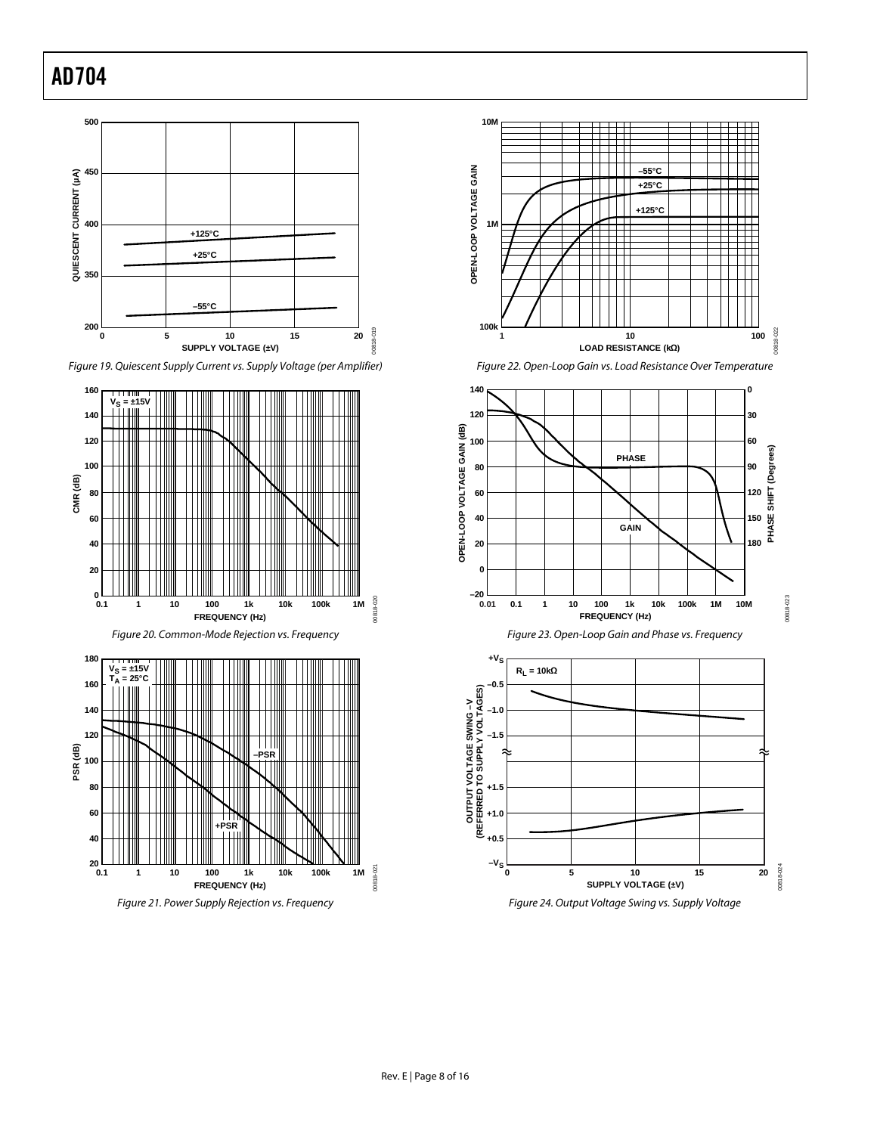















*Figure 24. Output Voltage Swing vs. Supply Voltage*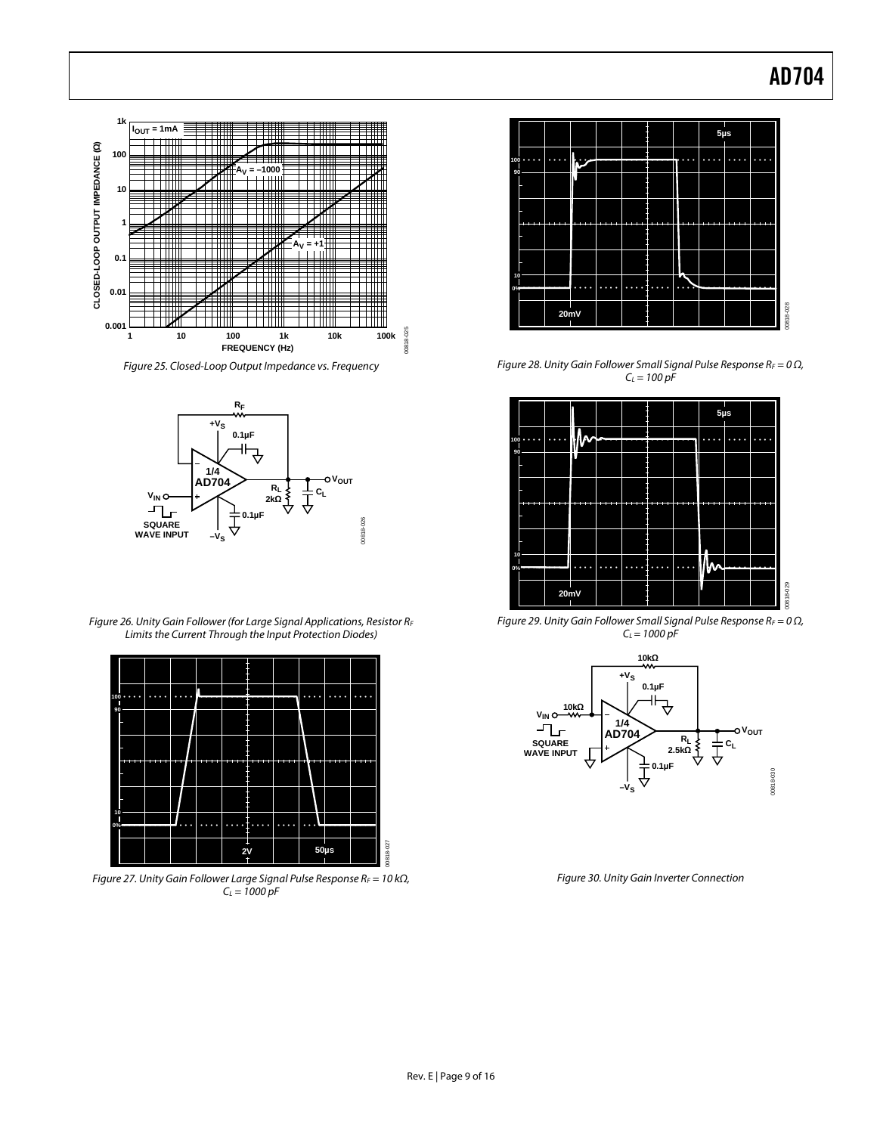

*Figure 25. Closed-Loop Output Impedance vs. Frequency*



*Figure 26. Unity Gain Follower (for Large Signal Applications, Resistor RF Limits the Current Through the Input Protection Diodes)*



*Figure 27. Unity Gain Follower Large Signal Pulse Response RF = 10 kΩ, CL = 1000 pF*



*Figure 28. Unity Gain Follower Small Signal Pulse Response RF = 0 Ω,*   $C_L = 100 pF$ 



*Figure 29. Unity Gain Follower Small Signal Pulse Response RF = 0 Ω, CL = 1000 pF*



*Figure 30. Unity Gain Inverter Connection*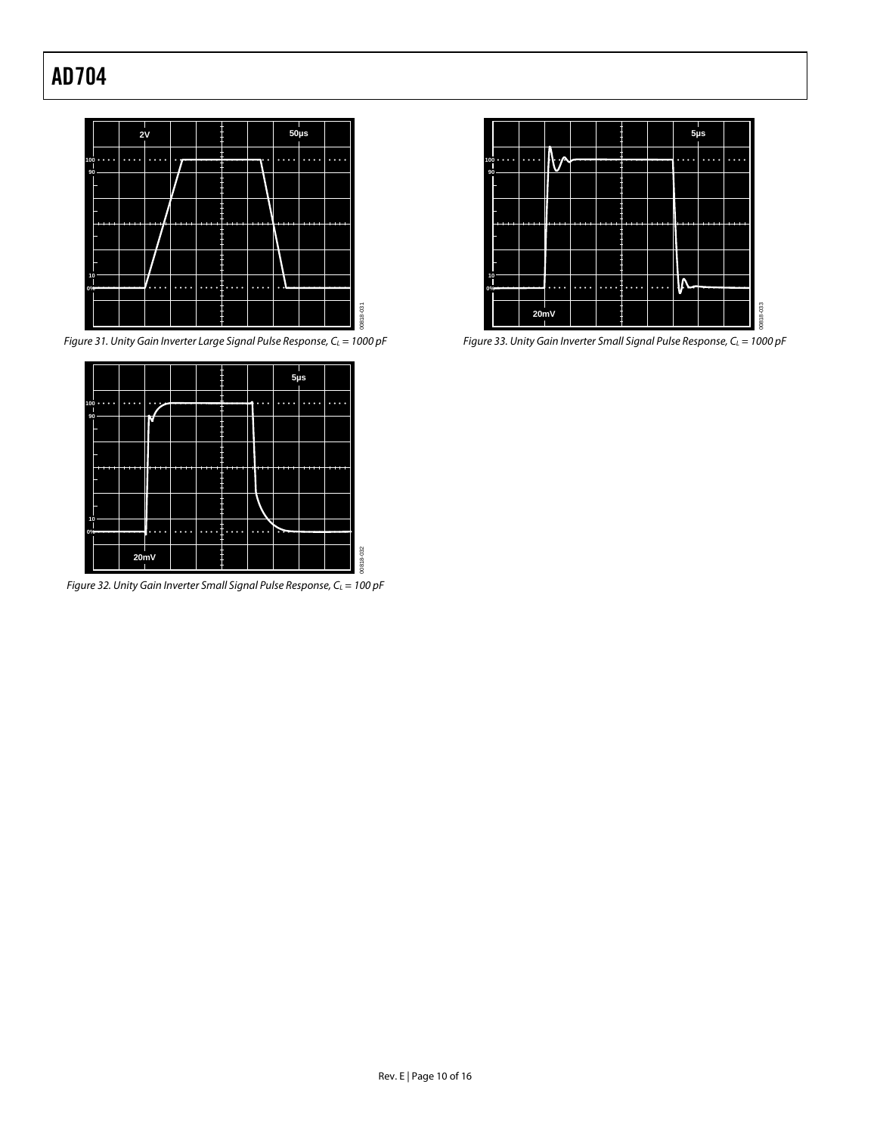

*Figure 31. Unity Gain Inverter Large Signal Pulse Response, C<sub>L</sub>* = 1000 pF



*Figure 32. Unity Gain Inverter Small Signal Pulse Response, C<sub>L</sub> = 100 pF* 



*Figure 33. Unity Gain Inverter Small Signal Pulse Response, C<sub>L</sub>* = 1000 pF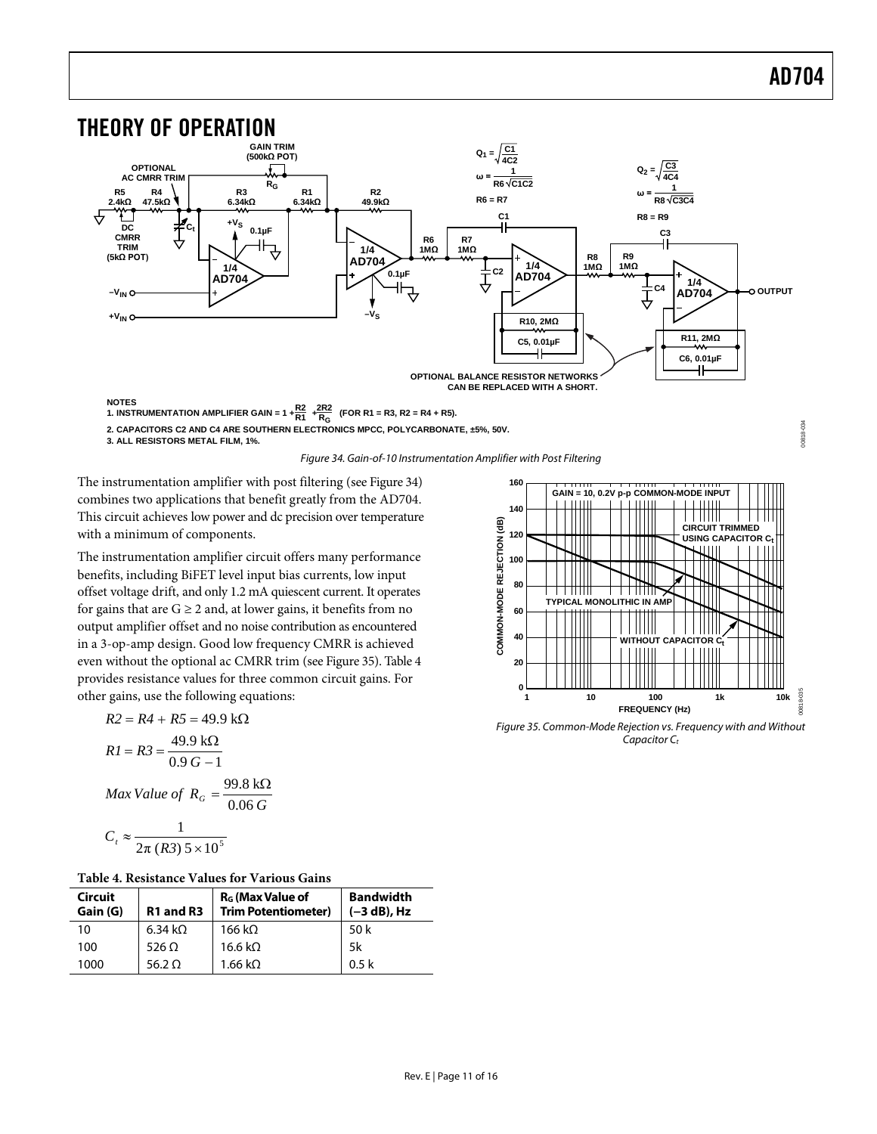00818-034

<span id="page-10-0"></span>

**2. CAPACITORS C2 AND C4 ARE SOUTHERN ELECTRONICS MPCC, POLYCARBONATE, ±5%, 50V.**

**3. ALL RESISTORS METAL FILM, 1%.**

*Figure 34. Gain-of-10 Instrumentation Amplifier with Post Filtering*

<span id="page-10-1"></span>The instrumentation amplifier with post filtering (se[e Figure 34\)](#page-10-1) combines two applications that benefit greatly from the AD704. This circuit achieves low power and dc precision over temperature with a minimum of components.

The instrumentation amplifier circuit offers many performance benefits, including BiFET level input bias currents, low input offset voltage drift, and only 1.2 mA quiescent current. It operates for gains that are  $G \geq 2$  and, at lower gains, it benefits from no output amplifier offset and no noise contribution as encountered in a 3-op-amp design. Good low frequency CMRR is achieved even without the optional ac CMRR trim (se[e Figure 35\)](#page-10-2)[. Table 4](#page-10-3) provides resistance values for three common circuit gains. For other gains, use the following equations:

R2 = R4 + R5 = 49.9 kΩ  
\nR1 = R3 = 
$$
\frac{49.9 kΩ}{0.9 G - 1}
$$
  
\nMax Value of R<sub>G</sub> =  $\frac{99.8 kΩ}{0.06 G}$   
\nC<sub>t</sub> ≈  $\frac{1}{2π (R3) 5 × 10^5}$ 

<span id="page-10-3"></span>**Table 4. Resistance Values for Various Gains**

| <b>Circuit</b><br>Gain (G) | R <sub>1</sub> and R <sub>3</sub> | R <sub>G</sub> (Max Value of<br><b>Trim Potentiometer)</b> | <b>Bandwidth</b><br>$(-3 dB)$ , Hz |
|----------------------------|-----------------------------------|------------------------------------------------------------|------------------------------------|
| 10                         | 6.34 k $\Omega$                   | 166 k $\Omega$                                             | 50 k                               |
| 100                        | 526 $\Omega$                      | 16.6 k $\Omega$                                            | 5k                                 |
| 1000                       | 56.2 O                            | $1.66 \text{ k}\Omega$                                     | 0.5 <sub>k</sub>                   |



<span id="page-10-2"></span>*Figure 35. Common-Mode Rejection vs. Frequency with and Without*  Capacitor C<sub>t</sub>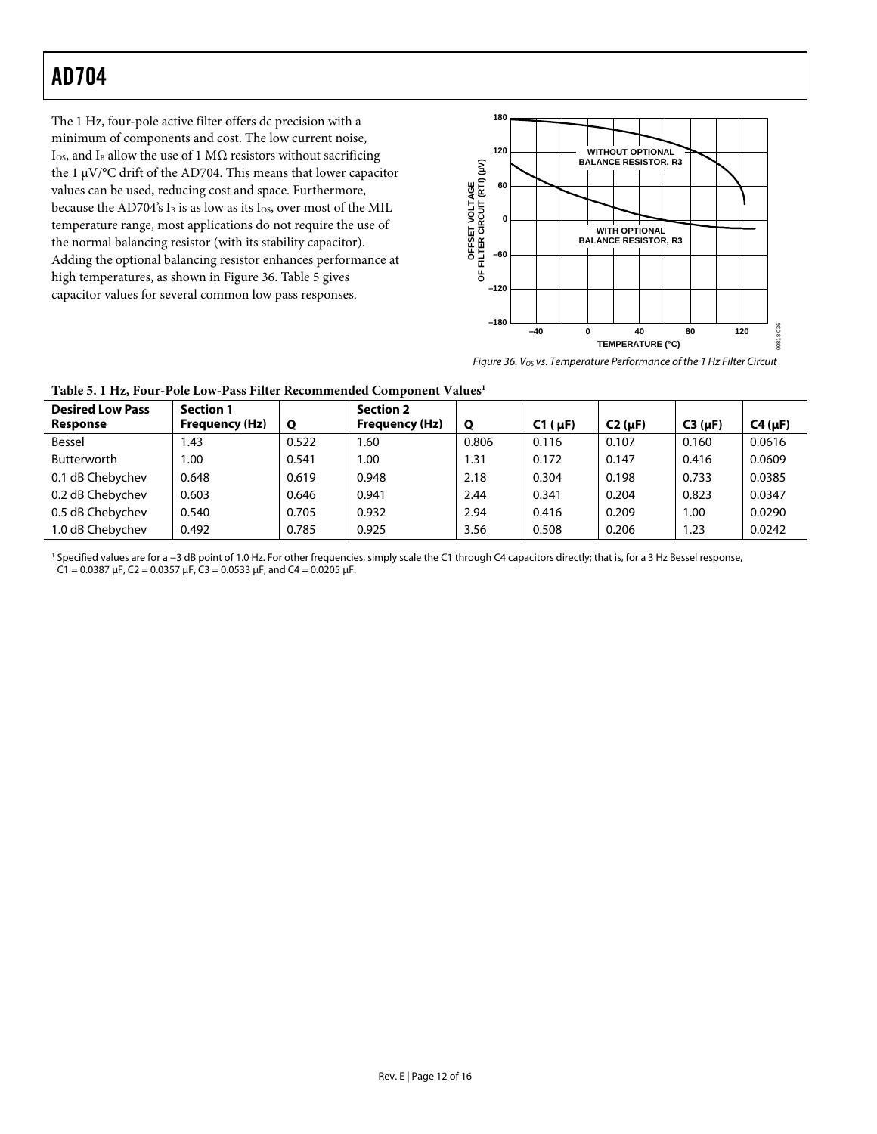The 1 Hz, four-pole active filter offers dc precision with a minimum of components and cost. The low current noise, I<sub>OS</sub>, and I<sub>B</sub> allow the use of 1 M $\Omega$  resistors without sacrificing the 1 μV/°C drift of the AD704. This means that lower capacitor values can be used, reducing cost and space. Furthermore, because the AD704's  $I_B$  is as low as its  $I_{OS}$ , over most of the MIL temperature range, most applications do not require the use of the normal balancing resistor (with its stability capacitor). Adding the optional balancing resistor enhances performance at high temperatures, as shown in [Figure 36.](#page-11-0) [Table 5](#page-11-1) gives capacitor values for several common low pass responses.



<span id="page-11-0"></span>*Figure 36. VOS vs. Temperature Performance of the 1 Hz Filter Circuit*

| <b>Desired Low Pass</b><br><b>Response</b> | <b>Section 1</b><br>Frequency (Hz) | Q     | <b>Section 2</b><br>Frequency (Hz) | Q     | $C1(\mu F)$ | $C2$ ( $\mu$ F) | $C3(\mu F)$ | $C4(\mu F)$ |
|--------------------------------------------|------------------------------------|-------|------------------------------------|-------|-------------|-----------------|-------------|-------------|
| Bessel                                     | 1.43                               | 0.522 | 1.60                               | 0.806 | 0.116       | 0.107           | 0.160       | 0.0616      |
| <b>Butterworth</b>                         | 00.1                               | 0.541 | 1.00                               | .31   | 0.172       | 0.147           | 0.416       | 0.0609      |
| 0.1 dB Chebychev                           | 0.648                              | 0.619 | 0.948                              | 2.18  | 0.304       | 0.198           | 0.733       | 0.0385      |
| 0.2 dB Chebychev                           | 0.603                              | 0.646 | 0.941                              | 2.44  | 0.341       | 0.204           | 0.823       | 0.0347      |
| 0.5 dB Chebychev                           | 0.540                              | 0.705 | 0.932                              | 2.94  | 0.416       | 0.209           | 1.00        | 0.0290      |
| 1.0 dB Chebychev                           | 0.492                              | 0.785 | 0.925                              | 3.56  | 0.508       | 0.206           | 1.23        | 0.0242      |

<span id="page-11-1"></span>**Table 5. 1 Hz, Four-Pole Low-Pass Filter Recommended Component Values1**

<sup>1</sup> Specified values are for a −3 dB point of 1.0 Hz. For other frequencies, simply scale the C1 through C4 capacitors directly; that is, for a 3 Hz Bessel response, C1 = 0.0387  $\mu$ F, C2 = 0.0357  $\mu$ F, C3 = 0.0533  $\mu$ F, and C4 = 0.0205  $\mu$ F.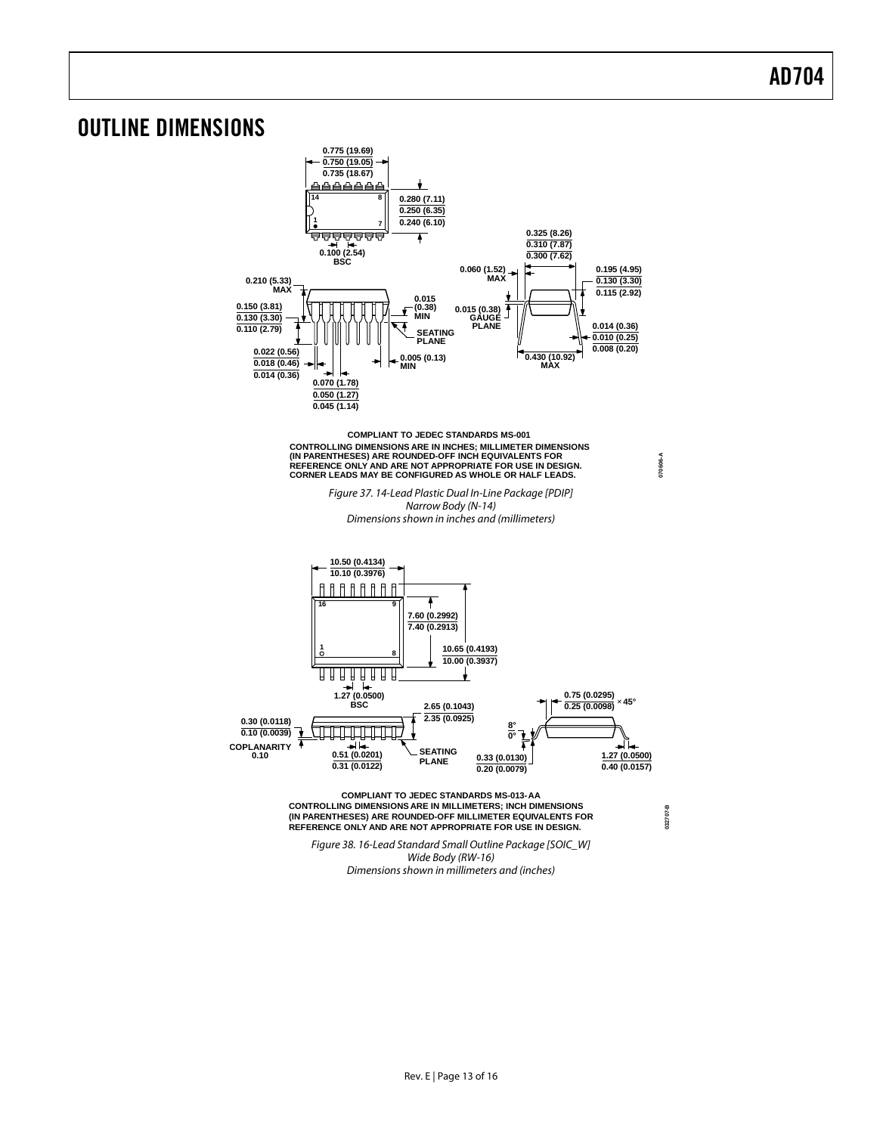### <span id="page-12-0"></span>OUTLINE DIMENSIONS



*Wide Body (RW-16) Dimensions shown in millimeters and (inches)*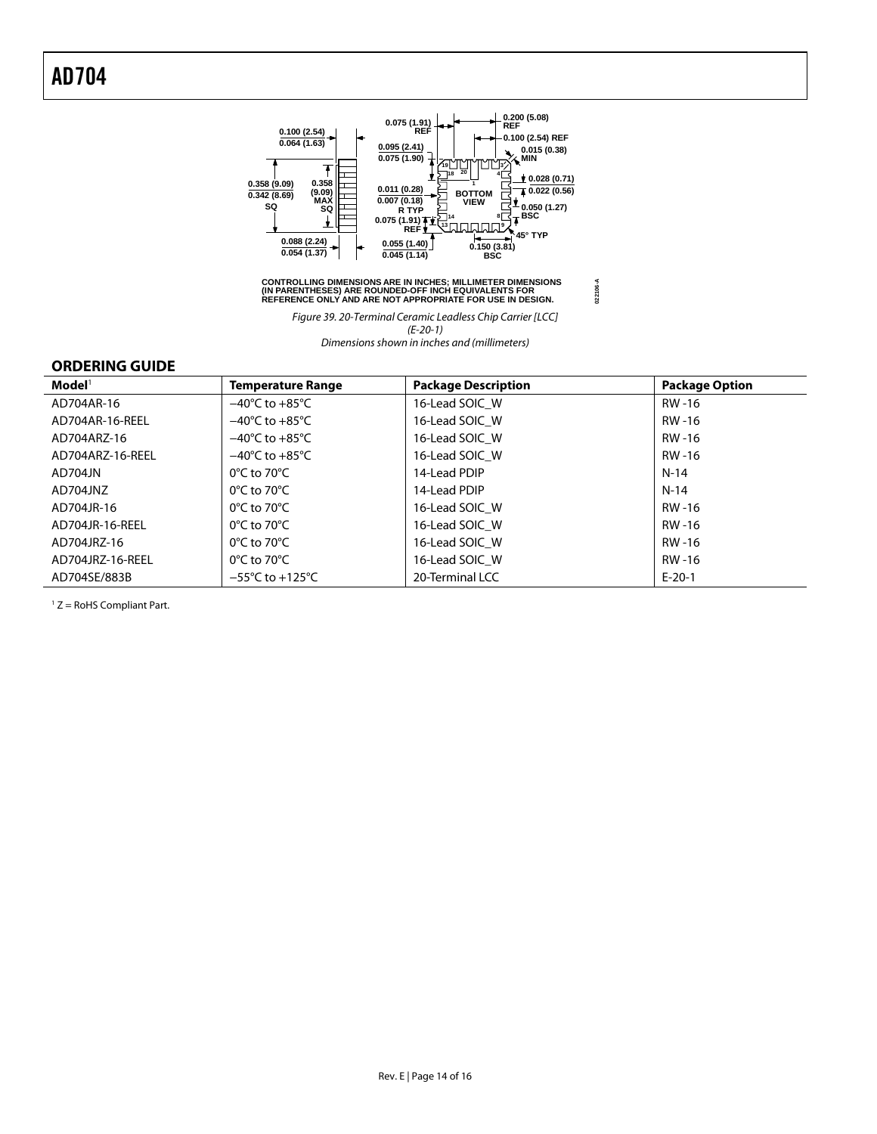

### CONTROLLING DIMENSIONS ARE IN INCHES; MILLIMETER DIMENSIONS<br>(IN PARENTHESES) ARE ROUNDED-OFF INCH EQUIVALENTS FOR<br>REFERENCE ONLY AND ARE NOT APPROPRIATE FOR USE IN DESIGN.

**022106-A**

*Figure 39. 20-Terminal Ceramic Leadless Chip Carrier [LCC] (E-20-1) Dimensions shown in inches and (millimeters)*

### <span id="page-13-0"></span>**ORDERING GUIDE**

| $\mathsf{Model}^1$ | <b>Temperature Range</b>            | <b>Package Description</b> | <b>Package Option</b> |
|--------------------|-------------------------------------|----------------------------|-----------------------|
| AD704AR-16         | $-40^{\circ}$ C to $+85^{\circ}$ C  | 16-Lead SOIC W             | RW -16                |
| AD704AR-16-REEL    | $-40^{\circ}$ C to $+85^{\circ}$ C  | 16-Lead SOIC W             | RW-16                 |
| AD704ARZ-16        | $-40^{\circ}$ C to $+85^{\circ}$ C  | 16-Lead SOIC W             | RW-16                 |
| AD704ARZ-16-REEL   | $-40^{\circ}$ C to $+85^{\circ}$ C  | 16-Lead SOIC W             | RW-16                 |
| AD704JN            | $0^{\circ}$ C to 70 $^{\circ}$ C    | 14-Lead PDIP               | N-14                  |
| AD704JNZ           | $0^{\circ}$ C to 70 $^{\circ}$ C    | 14-Lead PDIP               | N-14                  |
| AD704JR-16         | $0^{\circ}$ C to 70 $^{\circ}$ C    | 16-Lead SOIC W             | RW -16                |
| AD704JR-16-REEL    | $0^{\circ}$ C to 70 $^{\circ}$ C    | 16-Lead SOIC W             | RW -16                |
| AD704JRZ-16        | $0^{\circ}$ C to 70 $^{\circ}$ C    | 16-Lead SOIC W             | RW-16                 |
| AD704JRZ-16-REEL   | $0^{\circ}$ C to 70 $^{\circ}$ C    | 16-Lead SOIC W             | RW-16                 |
| AD704SE/883B       | $-55^{\circ}$ C to $+125^{\circ}$ C | 20-Terminal LCC            | $E-20-1$              |

<sup>1</sup> Z = RoHS Compliant Part.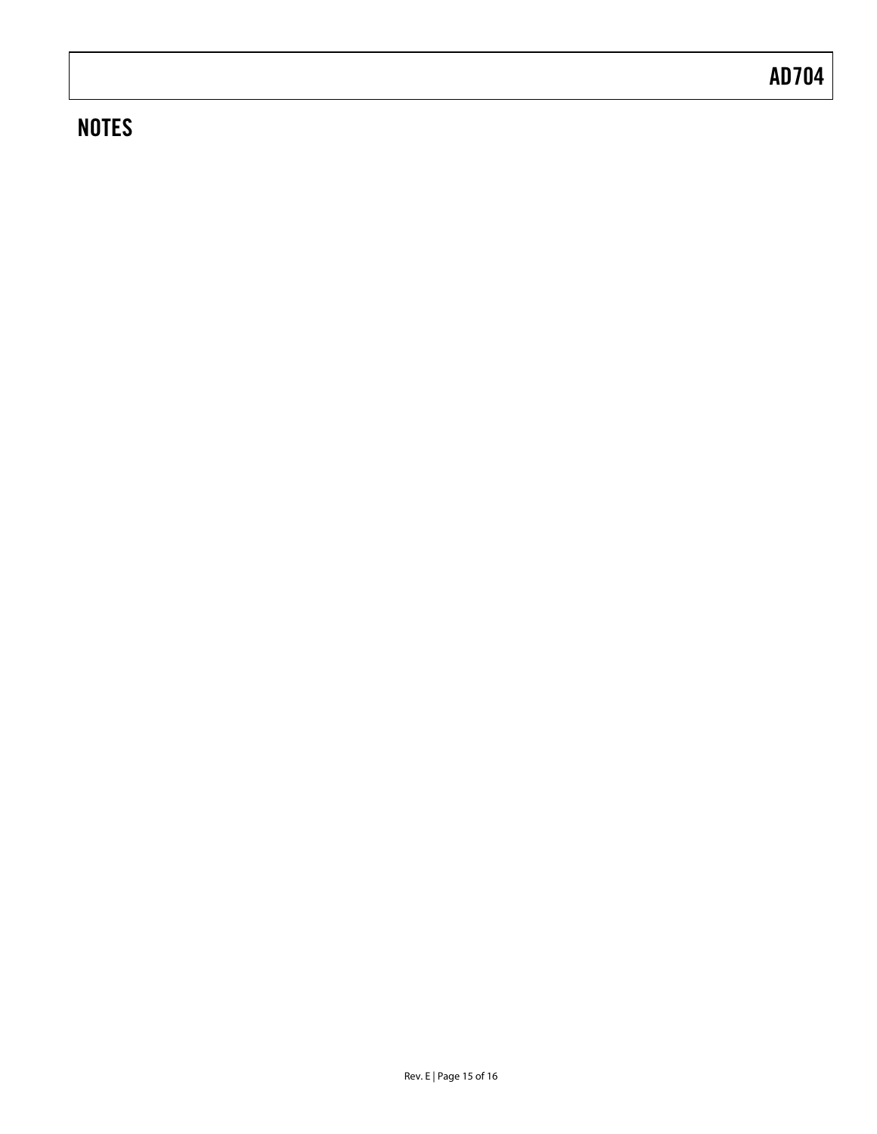## **NOTES**